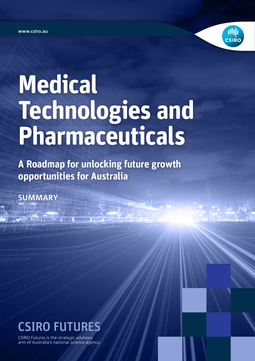**www.csiro.au**



# **Medical Technologies and Pharmaceuticals**

**A Roadmap for unlocking future growth opportunities for Australia**

**SUMMARY**



 $\mathbb{R}^d$  .  $\mathbb{R}^d$  $\mathbb{E}(\mathcal{L} \mid \mathcal{L} \mid \mathcal{L})$  , and  $\mathbb{E}(\mathcal{L} \mid \mathcal{L} \mid \mathcal{L})$  , and  $\mathbb{E}(\mathcal{L} \mid \mathcal{L} \mid \mathcal{L})$ 

CSIRO Futures is the strategic advisory arm of Australia's national science agency.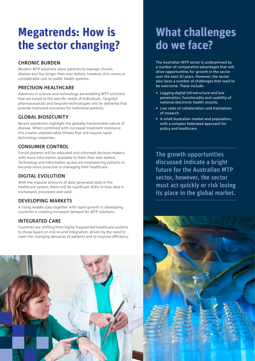# **Megatrends: How is the sector changing?**

# **CHRONIC BURDEN**

Modern MTP solutions allow patients to manage chronic disease and live longer than ever before, however, this comes at considerable cost to public health systems.

# **PRECISION HEALTHCARE**

Advances in science and technology are enabling MTP solutions that are tuned to the specific needs of individuals. Targeted pharmaceuticals and bespoke technologies will be delivered that provide improved outcomes for individual patients.

# **GLOBAL BIOSECURITY**

Recent pandemics highlight the globally transmissible nature of disease. When combined with increased treatment resistance this creates unpredictable threats that will require rapid technology responses.

# **CONSUMER CONTROL**

Future patients will be educated and informed decision-makers, with more information available to them than ever before. Technology and information access are empowering patients to become more proactive in managing their healthcare.

# **DIGITAL EVOLUTION**

With the massive amounts of data generated daily in the healthcare system, there will be significant shifts in how data is exchanged, processed and used.

# **DEVELOPING MARKETS**

A rising middle class together with rapid growth in developing countries is creating increased demand for MTP solutions.

# **INTEGRATED CARE**

Countries are shifting from highly fragmented healthcare systems to those based on end-to-end integration, driven by the need to meet the changing demands of patients and to improve efficiency.

# **What challenges do we face?**

The Australian MTP sector is underpinned by a number of comparative advantages that will drive opportunities for growth in the sector over the next 20 years. However, the sector also faces a number of challenges that need to be overcome. These include:

- Lagging digital infrastructure and low penetration, functionality and usability of national electronic health records.
- Low rates of collaboration and translation of research.
- • A small Australian market and population, with a complex federated approach for policy and healthcare.

The growth opportunities discussed indicate a bright future for the Australian MTP sector, however, the sector must act quickly or risk losing its place in the global market.



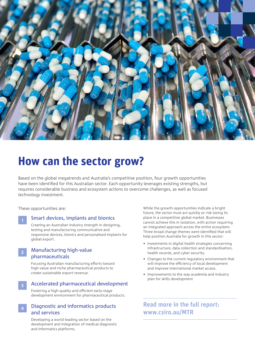

# **How can the sector grow?**

Based on the global megatrends and Australia's competitive position, four growth opportunities have been identified for this Australian sector. Each opportunity leverages existing strengths, but requires considerable business and ecosystem actions to overcome challenges, as well as focused technology investment.

These opportunities are:

**1**

**3**

#### Smart devices, implants and bionics

Creating an Australian industry strength in designing, testing and manufacturing communicative and responsive devices, bionics and personalised implants for global export.

#### Manufacturing high-value pharmaceuticals **2**

Focusing Australian manufacturing efforts toward high-value and niche pharmaceutical products to create sustainable export revenue.

#### Accelerated pharmaceutical development

Fostering a high-quality and efficient early-stage development environment for pharmaceutical products.

#### Diagnostic and informatics products and services **4**

Developing a world-leading sector based on the development and integration of medical diagnostic and informatics platforms.

While the growth opportunities indicate a bright future, the sector must act quickly or risk losing its place in a competitive global market. Businesses cannot achieve this in isolation, with action requiring an integrated approach across the entire ecosystem. Three broad change themes were identified that will help position Australia for growth in this sector:

- Investments in digital health strategies concerning infrastructure, data collection and standardisation, health records, and cyber security.
- Changes to the current regulatory environment that will improve the efficiency of local development and improve international market access.
- Improvements to the way academia and industry plan for skills development

Read more in the full report: www.csiro.au/MTR